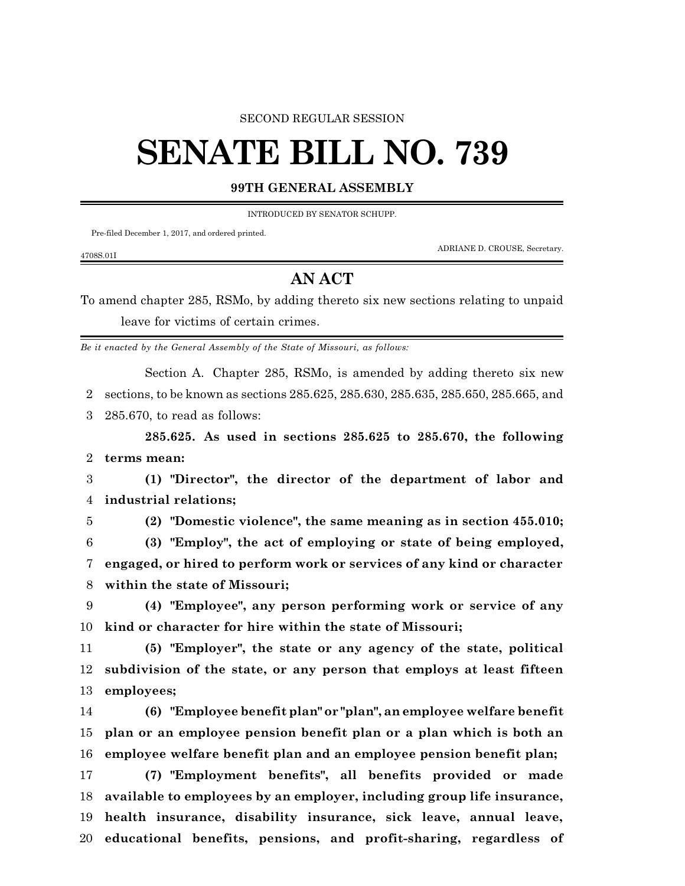## SECOND REGULAR SESSION

## **SENATE BILL NO. 739**

## **99TH GENERAL ASSEMBLY**

INTRODUCED BY SENATOR SCHUPP.

Pre-filed December 1, 2017, and ordered printed.

ADRIANE D. CROUSE, Secretary.

## **AN ACT**

To amend chapter 285, RSMo, by adding thereto six new sections relating to unpaid leave for victims of certain crimes.

*Be it enacted by the General Assembly of the State of Missouri, as follows:*

Section A. Chapter 285, RSMo, is amended by adding thereto six new sections, to be known as sections 285.625, 285.630, 285.635, 285.650, 285.665, and

285.670, to read as follows:

**285.625. As used in sections 285.625 to 285.670, the following terms mean:**

 **(1) "Director", the director of the department of labor and industrial relations;**

4708S.01I

**(2) "Domestic violence", the same meaning as in section 455.010;**

 **(3) "Employ", the act of employing or state of being employed, engaged, or hired to perform work or services of any kind or character within the state of Missouri;**

 **(4) "Employee", any person performing work or service of any kind or character for hire within the state of Missouri;**

 **(5) "Employer", the state or any agency of the state, political subdivision of the state, or any person that employs at least fifteen employees;**

 **(6) "Employee benefit plan" or "plan", an employee welfare benefit plan or an employee pension benefit plan or a plan which is both an employee welfare benefit plan and an employee pension benefit plan;**

 **(7) "Employment benefits", all benefits provided or made available to employees by an employer, including group life insurance, health insurance, disability insurance, sick leave, annual leave, educational benefits, pensions, and profit-sharing, regardless of**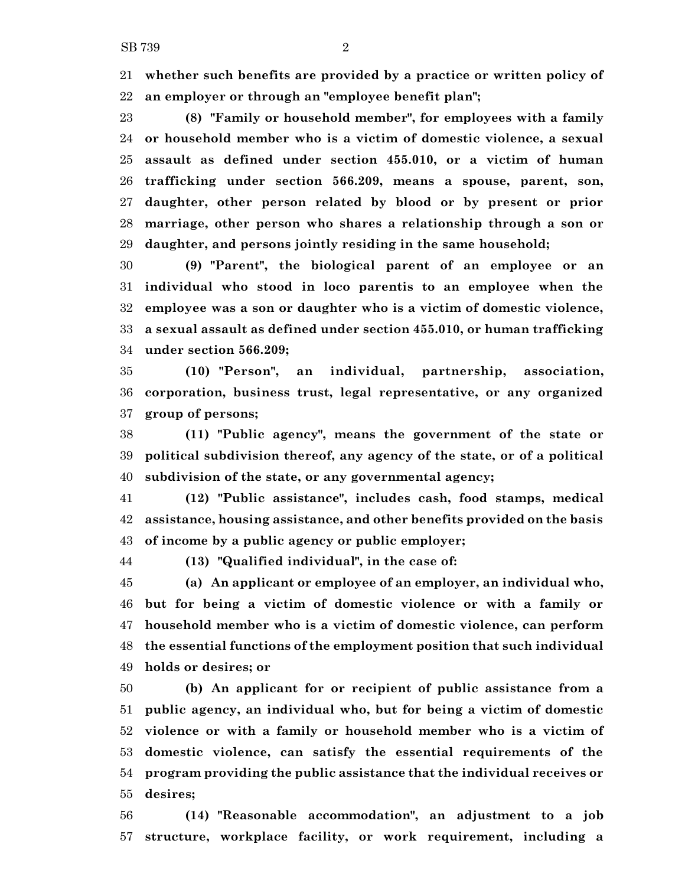**whether such benefits are provided by a practice or written policy of an employer or through an "employee benefit plan";**

 **(8) "Family or household member", for employees with a family or household member who is a victim of domestic violence, a sexual assault as defined under section 455.010, or a victim of human trafficking under section 566.209, means a spouse, parent, son, daughter, other person related by blood or by present or prior marriage, other person who shares a relationship through a son or daughter, and persons jointly residing in the same household;**

 **(9) "Parent", the biological parent of an employee or an individual who stood in loco parentis to an employee when the employee was a son or daughter who is a victim of domestic violence, a sexual assault as defined under section 455.010, or human trafficking under section 566.209;**

 **(10) "Person", an individual, partnership, association, corporation, business trust, legal representative, or any organized group of persons;**

 **(11) "Public agency", means the government of the state or political subdivision thereof, any agency of the state, or of a political subdivision of the state, or any governmental agency;**

 **(12) "Public assistance", includes cash, food stamps, medical assistance, housing assistance, and other benefits provided on the basis of income by a public agency or public employer;**

**(13) "Qualified individual", in the case of:**

 **(a) An applicant or employee of an employer, an individual who, but for being a victim of domestic violence or with a family or household member who is a victim of domestic violence, can perform the essential functions of the employment position that such individual holds or desires; or**

 **(b) An applicant for or recipient of public assistance from a public agency, an individual who, but for being a victim of domestic violence or with a family or household member who is a victim of domestic violence, can satisfy the essential requirements of the program providing the public assistance that the individual receives or desires;**

 **(14) "Reasonable accommodation", an adjustment to a job structure, workplace facility, or work requirement, including a**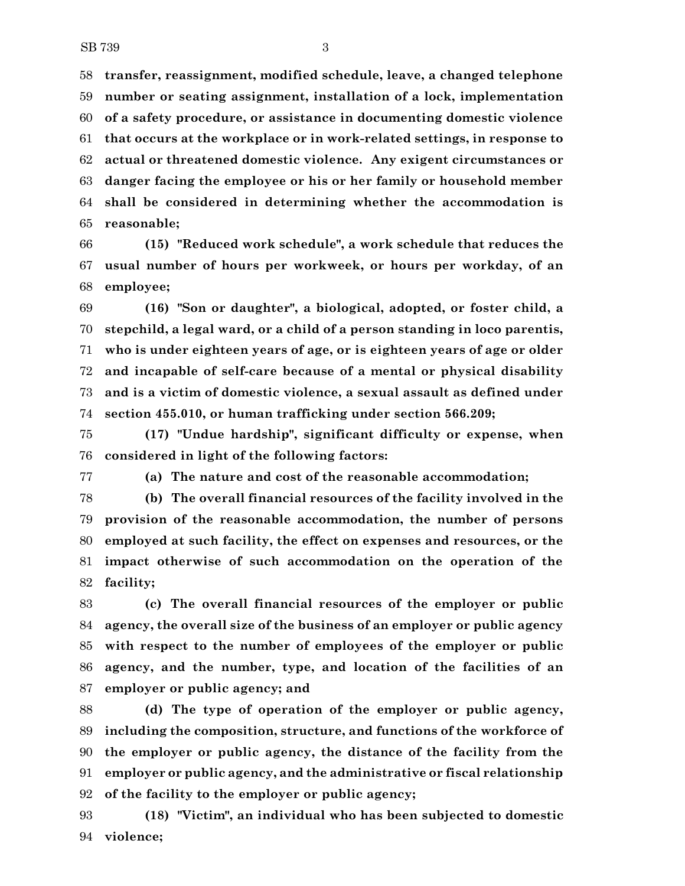**transfer, reassignment, modified schedule, leave, a changed telephone number or seating assignment, installation of a lock, implementation of a safety procedure, or assistance in documenting domestic violence that occurs at the workplace or in work-related settings, in response to actual or threatened domestic violence. Any exigent circumstances or danger facing the employee or his or her family or household member shall be considered in determining whether the accommodation is reasonable;**

 **(15) "Reduced work schedule", a work schedule that reduces the usual number of hours per workweek, or hours per workday, of an employee;**

 **(16) "Son or daughter", a biological, adopted, or foster child, a stepchild, a legal ward, or a child of a person standing in loco parentis, who is under eighteen years of age, or is eighteen years of age or older and incapable of self-care because of a mental or physical disability and is a victim of domestic violence, a sexual assault as defined under section 455.010, or human trafficking under section 566.209;**

 **(17) "Undue hardship", significant difficulty or expense, when considered in light of the following factors:**

**(a) The nature and cost of the reasonable accommodation;**

 **(b) The overall financial resources of the facility involved in the provision of the reasonable accommodation, the number of persons employed at such facility, the effect on expenses and resources, or the impact otherwise of such accommodation on the operation of the facility;**

 **(c) The overall financial resources of the employer or public agency, the overall size of the business of an employer or public agency with respect to the number of employees of the employer or public agency, and the number, type, and location of the facilities of an employer or public agency; and**

 **(d) The type of operation of the employer or public agency, including the composition, structure, and functions of the workforce of the employer or public agency, the distance of the facility from the employer or public agency, and the administrative or fiscal relationship of the facility to the employer or public agency;**

 **(18) "Victim", an individual who has been subjected to domestic violence;**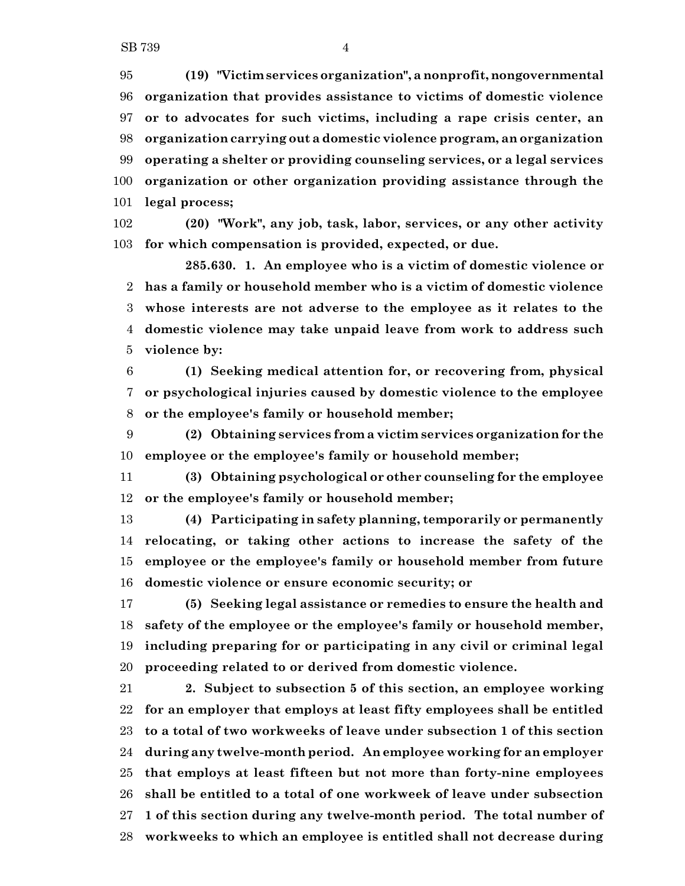**(19) "Victimservices organization", a nonprofit,nongovernmental organization that provides assistance to victims of domestic violence or to advocates for such victims, including a rape crisis center, an organization carrying out a domestic violence program, an organization operating a shelter or providing counseling services, or a legal services organization or other organization providing assistance through the legal process;**

 **(20) "Work", any job, task, labor, services, or any other activity for which compensation is provided, expected, or due.**

**285.630. 1. An employee who is a victim of domestic violence or has a family or household member who is a victim of domestic violence whose interests are not adverse to the employee as it relates to the domestic violence may take unpaid leave from work to address such violence by:**

 **(1) Seeking medical attention for, or recovering from, physical or psychological injuries caused by domestic violence to the employee or the employee's family or household member;**

 **(2) Obtaining services from a victim services organization for the employee or the employee's family or household member;**

 **(3) Obtaining psychological or other counseling for the employee or the employee's family or household member;**

 **(4) Participating in safety planning, temporarily or permanently relocating, or taking other actions to increase the safety of the employee or the employee's family or household member from future domestic violence or ensure economic security; or**

 **(5) Seeking legal assistance or remedies to ensure the health and safety of the employee or the employee's family or household member, including preparing for or participating in any civil or criminal legal proceeding related to or derived from domestic violence.**

 **2. Subject to subsection 5 of this section, an employee working for an employer that employs at least fifty employees shall be entitled to a total of two workweeks of leave under subsection 1 of this section during any twelve-month period. An employee working for an employer that employs at least fifteen but not more than forty-nine employees shall be entitled to a total of one workweek of leave under subsection 1 of this section during any twelve-month period. The total number of workweeks to which an employee is entitled shall not decrease during**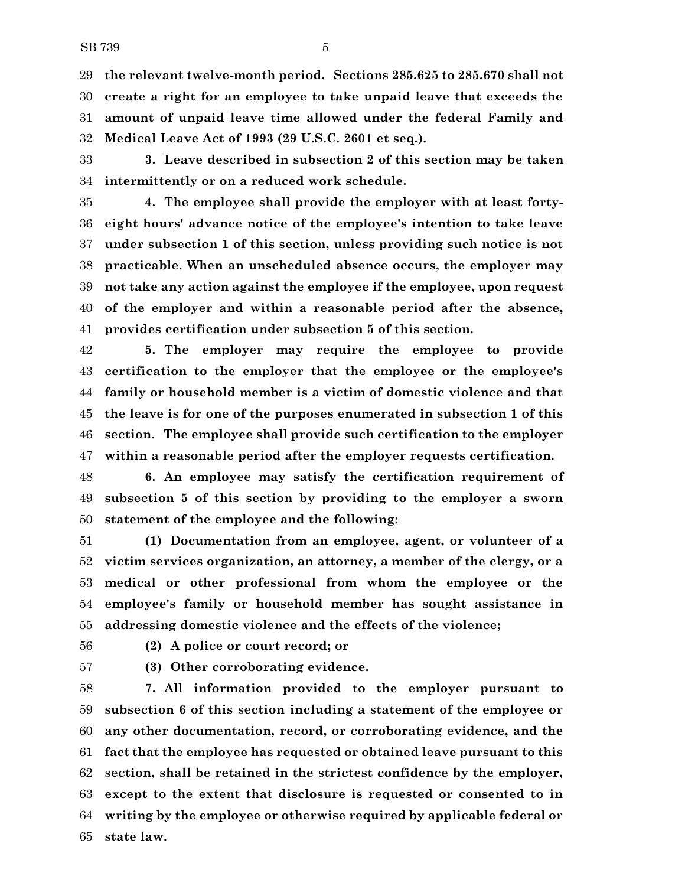**the relevant twelve-month period. Sections 285.625 to 285.670 shall not create a right for an employee to take unpaid leave that exceeds the amount of unpaid leave time allowed under the federal Family and Medical Leave Act of 1993 (29 U.S.C. 2601 et seq.).**

 **3. Leave described in subsection 2 of this section may be taken intermittently or on a reduced work schedule.**

 **4. The employee shall provide the employer with at least forty- eight hours' advance notice of the employee's intention to take leave under subsection 1 of this section, unless providing such notice is not practicable. When an unscheduled absence occurs, the employer may not take any action against the employee if the employee, upon request of the employer and within a reasonable period after the absence, provides certification under subsection 5 of this section.**

 **5. The employer may require the employee to provide certification to the employer that the employee or the employee's family or household member is a victim of domestic violence and that the leave is for one of the purposes enumerated in subsection 1 of this section. The employee shall provide such certification to the employer within a reasonable period after the employer requests certification.**

 **6. An employee may satisfy the certification requirement of subsection 5 of this section by providing to the employer a sworn statement of the employee and the following:**

 **(1) Documentation from an employee, agent, or volunteer of a victim services organization, an attorney, a member of the clergy, or a medical or other professional from whom the employee or the employee's family or household member has sought assistance in addressing domestic violence and the effects of the violence;**

**(2) A police or court record; or**

**(3) Other corroborating evidence.**

 **7. All information provided to the employer pursuant to subsection 6 of this section including a statement of the employee or any other documentation, record, or corroborating evidence, and the fact that the employee has requested or obtained leave pursuant to this section, shall be retained in the strictest confidence by the employer, except to the extent that disclosure is requested or consented to in writing by the employee or otherwise required by applicable federal or state law.**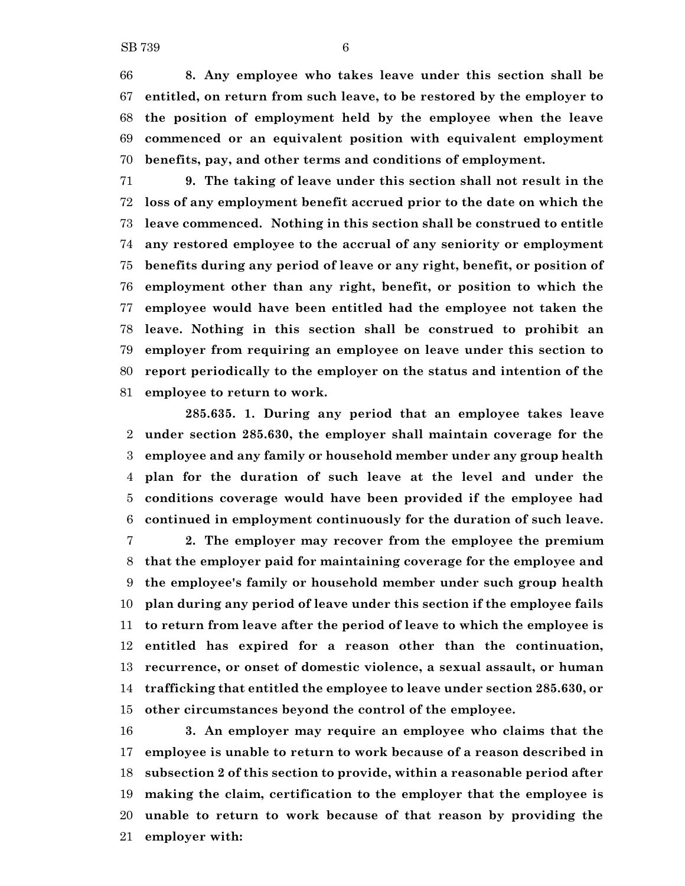**8. Any employee who takes leave under this section shall be entitled, on return from such leave, to be restored by the employer to the position of employment held by the employee when the leave commenced or an equivalent position with equivalent employment benefits, pay, and other terms and conditions of employment.**

 **9. The taking of leave under this section shall not result in the loss of any employment benefit accrued prior to the date on which the leave commenced. Nothing in this section shall be construed to entitle any restored employee to the accrual of any seniority or employment benefits during any period of leave or any right, benefit, or position of employment other than any right, benefit, or position to which the employee would have been entitled had the employee not taken the leave. Nothing in this section shall be construed to prohibit an employer from requiring an employee on leave under this section to report periodically to the employer on the status and intention of the employee to return to work.**

**285.635. 1. During any period that an employee takes leave under section 285.630, the employer shall maintain coverage for the employee and any family or household member under any group health plan for the duration of such leave at the level and under the conditions coverage would have been provided if the employee had continued in employment continuously for the duration of such leave.**

 **2. The employer may recover from the employee the premium that the employer paid for maintaining coverage for the employee and the employee's family or household member under such group health plan during any period of leave under this section if the employee fails to return from leave after the period of leave to which the employee is entitled has expired for a reason other than the continuation, recurrence, or onset of domestic violence, a sexual assault, or human trafficking that entitled the employee to leave under section 285.630, or other circumstances beyond the control of the employee.**

 **3. An employer may require an employee who claims that the employee is unable to return to work because of a reason described in subsection 2 of this section to provide, within a reasonable period after making the claim, certification to the employer that the employee is unable to return to work because of that reason by providing the employer with:**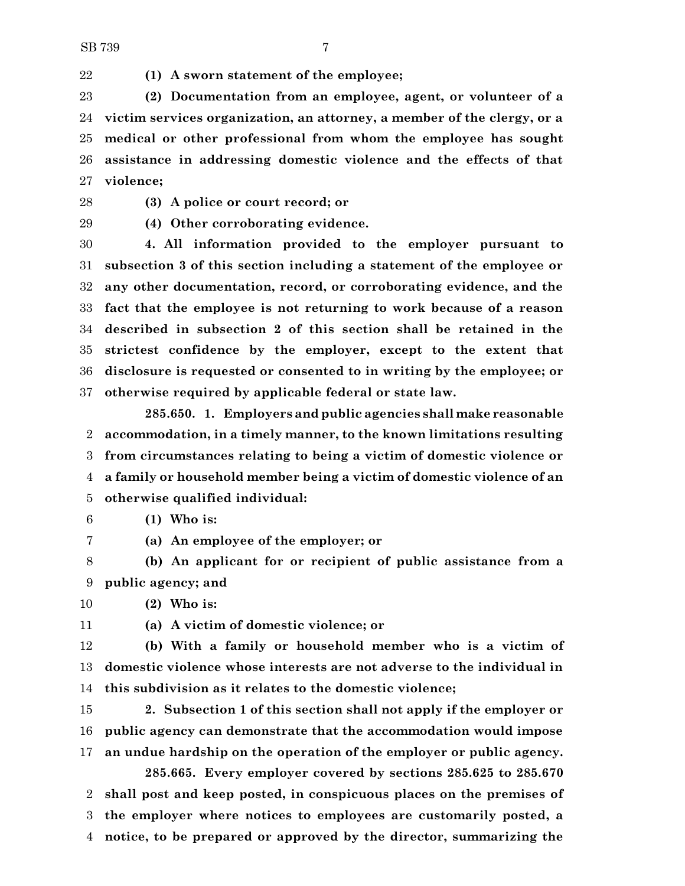**(1) A sworn statement of the employee;**

 **(2) Documentation from an employee, agent, or volunteer of a victim services organization, an attorney, a member of the clergy, or a medical or other professional from whom the employee has sought assistance in addressing domestic violence and the effects of that violence;**

**(3) A police or court record; or**

**(4) Other corroborating evidence.**

 **4. All information provided to the employer pursuant to subsection 3 of this section including a statement of the employee or any other documentation, record, or corroborating evidence, and the fact that the employee is not returning to work because of a reason described in subsection 2 of this section shall be retained in the strictest confidence by the employer, except to the extent that disclosure is requested or consented to in writing by the employee; or otherwise required by applicable federal or state law.**

**285.650. 1. Employers and public agencies shall make reasonable accommodation, in a timely manner, to the known limitations resulting from circumstances relating to being a victim of domestic violence or a family or household member being a victim of domestic violence of an otherwise qualified individual:**

- **(1) Who is:**
- **(a) An employee of the employer; or**
- **(b) An applicant for or recipient of public assistance from a public agency; and**

**(2) Who is:**

**(a) A victim of domestic violence; or**

 **(b) With a family or household member who is a victim of domestic violence whose interests are not adverse to the individual in this subdivision as it relates to the domestic violence;**

 **2. Subsection 1 of this section shall not apply if the employer or public agency can demonstrate that the accommodation would impose an undue hardship on the operation of the employer or public agency. 285.665. Every employer covered by sections 285.625 to 285.670**

 **shall post and keep posted, in conspicuous places on the premises of the employer where notices to employees are customarily posted, a notice, to be prepared or approved by the director, summarizing the**